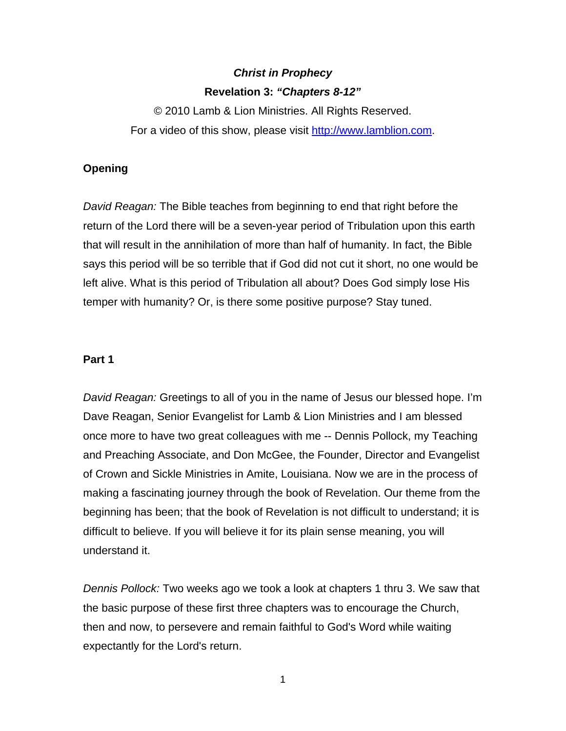# *Christ in Prophecy*  **Revelation 3:** *"Chapters 8-12"*

© 2010 Lamb & Lion Ministries. All Rights Reserved. For a video of this show, please visit [http://www.lamblion.com](http://www.lamblion.com/).

## **Opening**

*David Reagan:* The Bible teaches from beginning to end that right before the return of the Lord there will be a seven-year period of Tribulation upon this earth that will result in the annihilation of more than half of humanity. In fact, the Bible says this period will be so terrible that if God did not cut it short, no one would be left alive. What is this period of Tribulation all about? Does God simply lose His temper with humanity? Or, is there some positive purpose? Stay tuned.

#### **Part 1**

*David Reagan:* Greetings to all of you in the name of Jesus our blessed hope. I'm Dave Reagan, Senior Evangelist for Lamb & Lion Ministries and I am blessed once more to have two great colleagues with me -- Dennis Pollock, my Teaching and Preaching Associate, and Don McGee, the Founder, Director and Evangelist of Crown and Sickle Ministries in Amite, Louisiana. Now we are in the process of making a fascinating journey through the book of Revelation. Our theme from the beginning has been; that the book of Revelation is not difficult to understand; it is difficult to believe. If you will believe it for its plain sense meaning, you will understand it.

*Dennis Pollock:* Two weeks ago we took a look at chapters 1 thru 3. We saw that the basic purpose of these first three chapters was to encourage the Church, then and now, to persevere and remain faithful to God's Word while waiting expectantly for the Lord's return.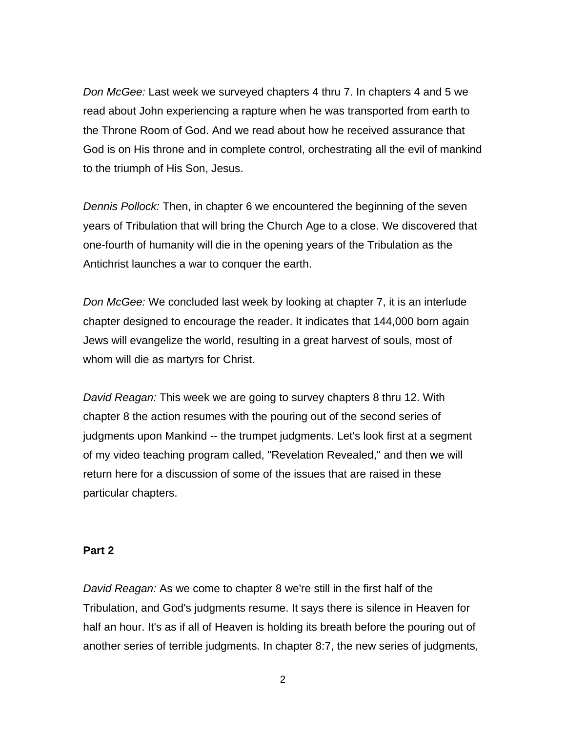*Don McGee:* Last week we surveyed chapters 4 thru 7. In chapters 4 and 5 we read about John experiencing a rapture when he was transported from earth to the Throne Room of God. And we read about how he received assurance that God is on His throne and in complete control, orchestrating all the evil of mankind to the triumph of His Son, Jesus.

*Dennis Pollock:* Then, in chapter 6 we encountered the beginning of the seven years of Tribulation that will bring the Church Age to a close. We discovered that one-fourth of humanity will die in the opening years of the Tribulation as the Antichrist launches a war to conquer the earth.

*Don McGee:* We concluded last week by looking at chapter 7, it is an interlude chapter designed to encourage the reader. It indicates that 144,000 born again Jews will evangelize the world, resulting in a great harvest of souls, most of whom will die as martyrs for Christ.

*David Reagan:* This week we are going to survey chapters 8 thru 12. With chapter 8 the action resumes with the pouring out of the second series of judgments upon Mankind -- the trumpet judgments. Let's look first at a segment of my video teaching program called, "Revelation Revealed," and then we will return here for a discussion of some of the issues that are raised in these particular chapters.

## **Part 2**

*David Reagan:* As we come to chapter 8 we're still in the first half of the Tribulation, and God's judgments resume. It says there is silence in Heaven for half an hour. It's as if all of Heaven is holding its breath before the pouring out of another series of terrible judgments. In chapter 8:7, the new series of judgments,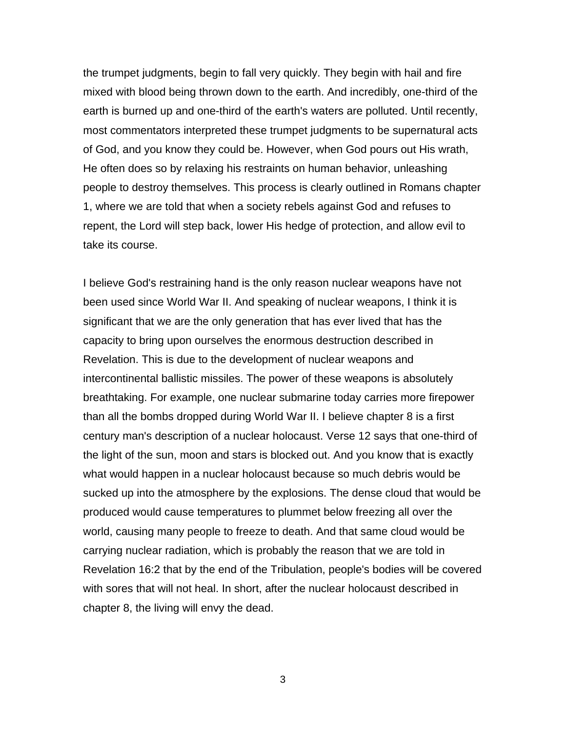the trumpet judgments, begin to fall very quickly. They begin with hail and fire mixed with blood being thrown down to the earth. And incredibly, one-third of the earth is burned up and one-third of the earth's waters are polluted. Until recently, most commentators interpreted these trumpet judgments to be supernatural acts of God, and you know they could be. However, when God pours out His wrath, He often does so by relaxing his restraints on human behavior, unleashing people to destroy themselves. This process is clearly outlined in Romans chapter 1, where we are told that when a society rebels against God and refuses to repent, the Lord will step back, lower His hedge of protection, and allow evil to take its course.

I believe God's restraining hand is the only reason nuclear weapons have not been used since World War II. And speaking of nuclear weapons, I think it is significant that we are the only generation that has ever lived that has the capacity to bring upon ourselves the enormous destruction described in Revelation. This is due to the development of nuclear weapons and intercontinental ballistic missiles. The power of these weapons is absolutely breathtaking. For example, one nuclear submarine today carries more firepower than all the bombs dropped during World War II. I believe chapter 8 is a first century man's description of a nuclear holocaust. Verse 12 says that one-third of the light of the sun, moon and stars is blocked out. And you know that is exactly what would happen in a nuclear holocaust because so much debris would be sucked up into the atmosphere by the explosions. The dense cloud that would be produced would cause temperatures to plummet below freezing all over the world, causing many people to freeze to death. And that same cloud would be carrying nuclear radiation, which is probably the reason that we are told in Revelation 16:2 that by the end of the Tribulation, people's bodies will be covered with sores that will not heal. In short, after the nuclear holocaust described in chapter 8, the living will envy the dead.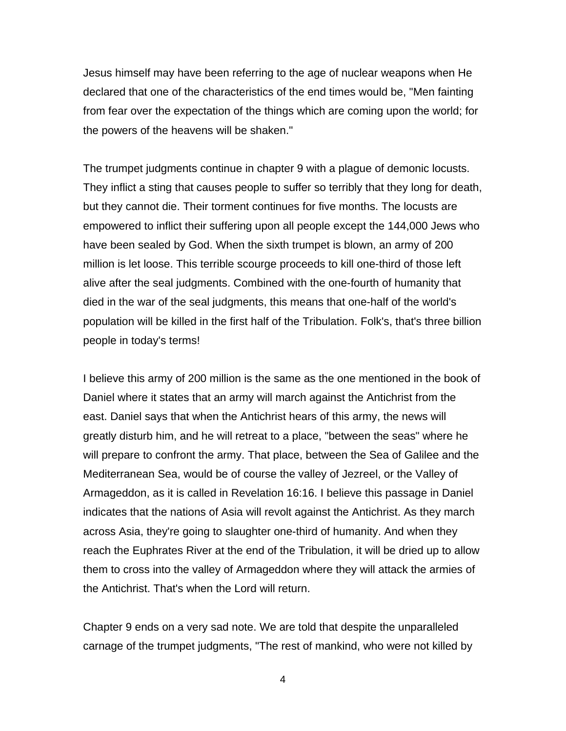Jesus himself may have been referring to the age of nuclear weapons when He declared that one of the characteristics of the end times would be, "Men fainting from fear over the expectation of the things which are coming upon the world; for the powers of the heavens will be shaken."

The trumpet judgments continue in chapter 9 with a plague of demonic locusts. They inflict a sting that causes people to suffer so terribly that they long for death, but they cannot die. Their torment continues for five months. The locusts are empowered to inflict their suffering upon all people except the 144,000 Jews who have been sealed by God. When the sixth trumpet is blown, an army of 200 million is let loose. This terrible scourge proceeds to kill one-third of those left alive after the seal judgments. Combined with the one-fourth of humanity that died in the war of the seal judgments, this means that one-half of the world's population will be killed in the first half of the Tribulation. Folk's, that's three billion people in today's terms!

I believe this army of 200 million is the same as the one mentioned in the book of Daniel where it states that an army will march against the Antichrist from the east. Daniel says that when the Antichrist hears of this army, the news will greatly disturb him, and he will retreat to a place, "between the seas" where he will prepare to confront the army. That place, between the Sea of Galilee and the Mediterranean Sea, would be of course the valley of Jezreel, or the Valley of Armageddon, as it is called in Revelation 16:16. I believe this passage in Daniel indicates that the nations of Asia will revolt against the Antichrist. As they march across Asia, they're going to slaughter one-third of humanity. And when they reach the Euphrates River at the end of the Tribulation, it will be dried up to allow them to cross into the valley of Armageddon where they will attack the armies of the Antichrist. That's when the Lord will return.

Chapter 9 ends on a very sad note. We are told that despite the unparalleled carnage of the trumpet judgments, "The rest of mankind, who were not killed by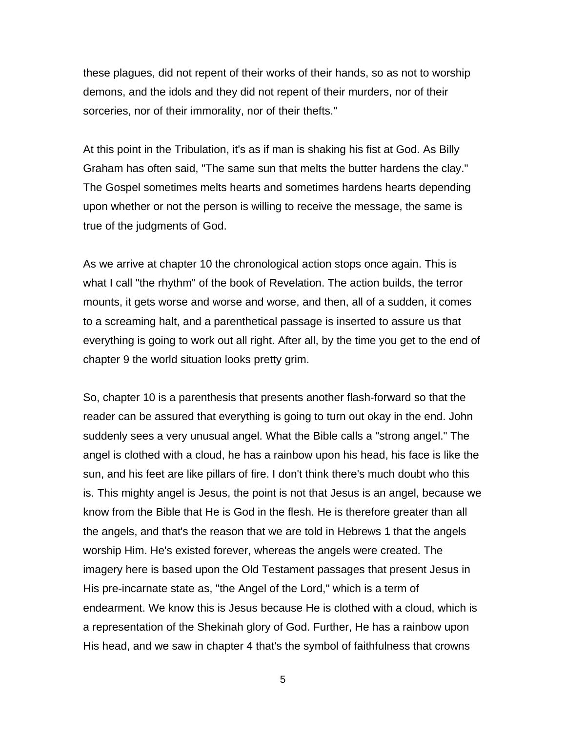these plagues, did not repent of their works of their hands, so as not to worship demons, and the idols and they did not repent of their murders, nor of their sorceries, nor of their immorality, nor of their thefts."

At this point in the Tribulation, it's as if man is shaking his fist at God. As Billy Graham has often said, "The same sun that melts the butter hardens the clay." The Gospel sometimes melts hearts and sometimes hardens hearts depending upon whether or not the person is willing to receive the message, the same is true of the judgments of God.

As we arrive at chapter 10 the chronological action stops once again. This is what I call "the rhythm" of the book of Revelation. The action builds, the terror mounts, it gets worse and worse and worse, and then, all of a sudden, it comes to a screaming halt, and a parenthetical passage is inserted to assure us that everything is going to work out all right. After all, by the time you get to the end of chapter 9 the world situation looks pretty grim.

So, chapter 10 is a parenthesis that presents another flash-forward so that the reader can be assured that everything is going to turn out okay in the end. John suddenly sees a very unusual angel. What the Bible calls a "strong angel." The angel is clothed with a cloud, he has a rainbow upon his head, his face is like the sun, and his feet are like pillars of fire. I don't think there's much doubt who this is. This mighty angel is Jesus, the point is not that Jesus is an angel, because we know from the Bible that He is God in the flesh. He is therefore greater than all the angels, and that's the reason that we are told in Hebrews 1 that the angels worship Him. He's existed forever, whereas the angels were created. The imagery here is based upon the Old Testament passages that present Jesus in His pre-incarnate state as, "the Angel of the Lord," which is a term of endearment. We know this is Jesus because He is clothed with a cloud, which is a representation of the Shekinah glory of God. Further, He has a rainbow upon His head, and we saw in chapter 4 that's the symbol of faithfulness that crowns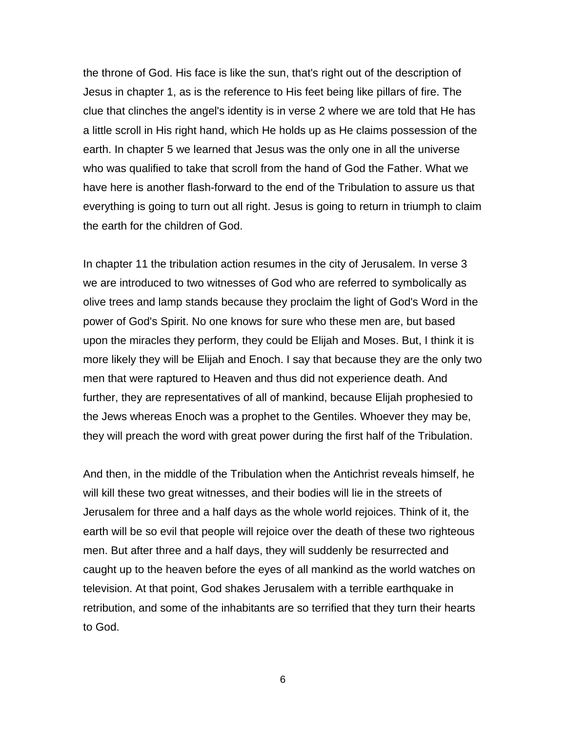the throne of God. His face is like the sun, that's right out of the description of Jesus in chapter 1, as is the reference to His feet being like pillars of fire. The clue that clinches the angel's identity is in verse 2 where we are told that He has a little scroll in His right hand, which He holds up as He claims possession of the earth. In chapter 5 we learned that Jesus was the only one in all the universe who was qualified to take that scroll from the hand of God the Father. What we have here is another flash-forward to the end of the Tribulation to assure us that everything is going to turn out all right. Jesus is going to return in triumph to claim the earth for the children of God.

In chapter 11 the tribulation action resumes in the city of Jerusalem. In verse 3 we are introduced to two witnesses of God who are referred to symbolically as olive trees and lamp stands because they proclaim the light of God's Word in the power of God's Spirit. No one knows for sure who these men are, but based upon the miracles they perform, they could be Elijah and Moses. But, I think it is more likely they will be Elijah and Enoch. I say that because they are the only two men that were raptured to Heaven and thus did not experience death. And further, they are representatives of all of mankind, because Elijah prophesied to the Jews whereas Enoch was a prophet to the Gentiles. Whoever they may be, they will preach the word with great power during the first half of the Tribulation.

And then, in the middle of the Tribulation when the Antichrist reveals himself, he will kill these two great witnesses, and their bodies will lie in the streets of Jerusalem for three and a half days as the whole world rejoices. Think of it, the earth will be so evil that people will rejoice over the death of these two righteous men. But after three and a half days, they will suddenly be resurrected and caught up to the heaven before the eyes of all mankind as the world watches on television. At that point, God shakes Jerusalem with a terrible earthquake in retribution, and some of the inhabitants are so terrified that they turn their hearts to God.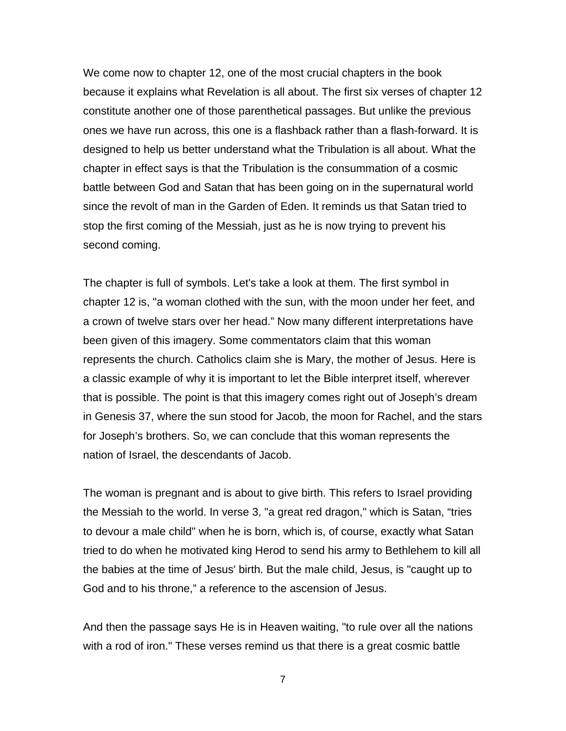We come now to chapter 12, one of the most crucial chapters in the book because it explains what Revelation is all about. The first six verses of chapter 12 constitute another one of those parenthetical passages. But unlike the previous ones we have run across, this one is a flashback rather than a flash-forward. It is designed to help us better understand what the Tribulation is all about. What the chapter in effect says is that the Tribulation is the consummation of a cosmic battle between God and Satan that has been going on in the supernatural world since the revolt of man in the Garden of Eden. It reminds us that Satan tried to stop the first coming of the Messiah, just as he is now trying to prevent his second coming.

The chapter is full of symbols. Let's take a look at them. The first symbol in chapter 12 is, "a woman clothed with the sun, with the moon under her feet, and a crown of twelve stars over her head." Now many different interpretations have been given of this imagery. Some commentators claim that this woman represents the church. Catholics claim she is Mary, the mother of Jesus. Here is a classic example of why it is important to let the Bible interpret itself, wherever that is possible. The point is that this imagery comes right out of Joseph's dream in Genesis 37, where the sun stood for Jacob, the moon for Rachel, and the stars for Joseph's brothers. So, we can conclude that this woman represents the nation of Israel, the descendants of Jacob.

The woman is pregnant and is about to give birth. This refers to Israel providing the Messiah to the world. In verse 3, "a great red dragon," which is Satan, "tries to devour a male child" when he is born, which is, of course, exactly what Satan tried to do when he motivated king Herod to send his army to Bethlehem to kill all the babies at the time of Jesus' birth. But the male child, Jesus, is "caught up to God and to his throne," a reference to the ascension of Jesus.

And then the passage says He is in Heaven waiting, "to rule over all the nations with a rod of iron." These verses remind us that there is a great cosmic battle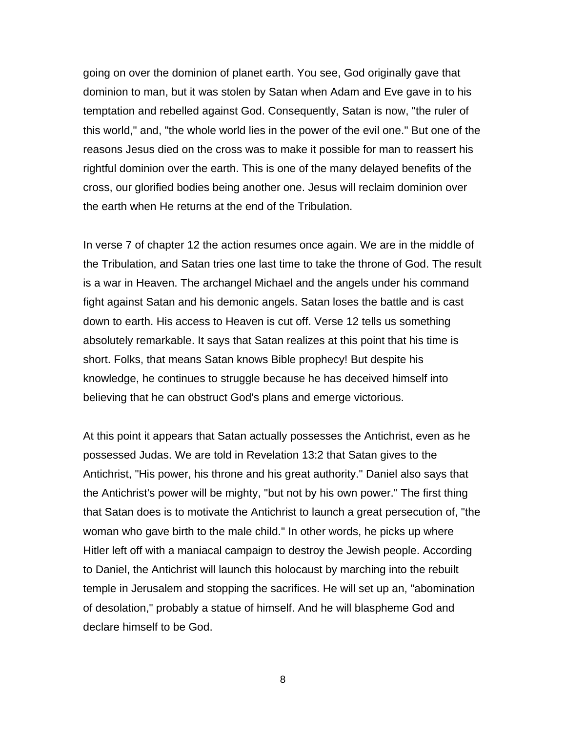going on over the dominion of planet earth. You see, God originally gave that dominion to man, but it was stolen by Satan when Adam and Eve gave in to his temptation and rebelled against God. Consequently, Satan is now, "the ruler of this world," and, "the whole world lies in the power of the evil one." But one of the reasons Jesus died on the cross was to make it possible for man to reassert his rightful dominion over the earth. This is one of the many delayed benefits of the cross, our glorified bodies being another one. Jesus will reclaim dominion over the earth when He returns at the end of the Tribulation.

In verse 7 of chapter 12 the action resumes once again. We are in the middle of the Tribulation, and Satan tries one last time to take the throne of God. The result is a war in Heaven. The archangel Michael and the angels under his command fight against Satan and his demonic angels. Satan loses the battle and is cast down to earth. His access to Heaven is cut off. Verse 12 tells us something absolutely remarkable. It says that Satan realizes at this point that his time is short. Folks, that means Satan knows Bible prophecy! But despite his knowledge, he continues to struggle because he has deceived himself into believing that he can obstruct God's plans and emerge victorious.

At this point it appears that Satan actually possesses the Antichrist, even as he possessed Judas. We are told in Revelation 13:2 that Satan gives to the Antichrist, "His power, his throne and his great authority." Daniel also says that the Antichrist's power will be mighty, "but not by his own power." The first thing that Satan does is to motivate the Antichrist to launch a great persecution of, "the woman who gave birth to the male child." In other words, he picks up where Hitler left off with a maniacal campaign to destroy the Jewish people. According to Daniel, the Antichrist will launch this holocaust by marching into the rebuilt temple in Jerusalem and stopping the sacrifices. He will set up an, "abomination of desolation," probably a statue of himself. And he will blaspheme God and declare himself to be God.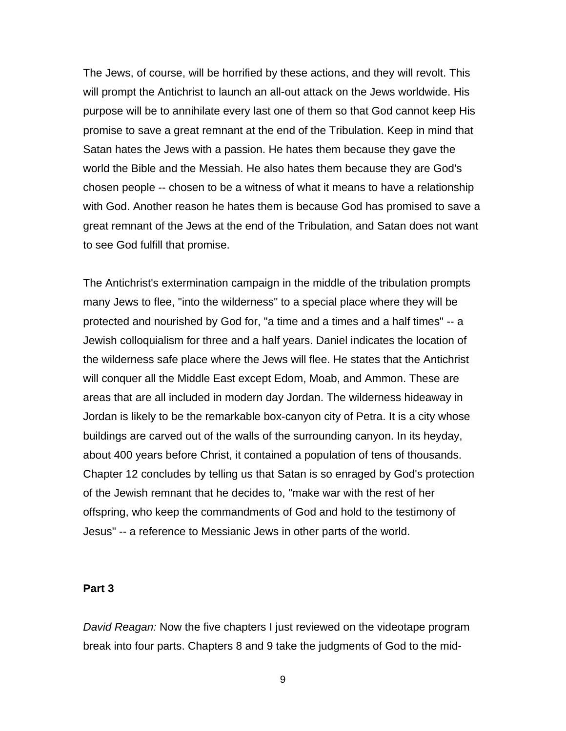The Jews, of course, will be horrified by these actions, and they will revolt. This will prompt the Antichrist to launch an all-out attack on the Jews worldwide. His purpose will be to annihilate every last one of them so that God cannot keep His promise to save a great remnant at the end of the Tribulation. Keep in mind that Satan hates the Jews with a passion. He hates them because they gave the world the Bible and the Messiah. He also hates them because they are God's chosen people -- chosen to be a witness of what it means to have a relationship with God. Another reason he hates them is because God has promised to save a great remnant of the Jews at the end of the Tribulation, and Satan does not want to see God fulfill that promise.

The Antichrist's extermination campaign in the middle of the tribulation prompts many Jews to flee, "into the wilderness" to a special place where they will be protected and nourished by God for, "a time and a times and a half times" -- a Jewish colloquialism for three and a half years. Daniel indicates the location of the wilderness safe place where the Jews will flee. He states that the Antichrist will conquer all the Middle East except Edom, Moab, and Ammon. These are areas that are all included in modern day Jordan. The wilderness hideaway in Jordan is likely to be the remarkable box-canyon city of Petra. It is a city whose buildings are carved out of the walls of the surrounding canyon. In its heyday, about 400 years before Christ, it contained a population of tens of thousands. Chapter 12 concludes by telling us that Satan is so enraged by God's protection of the Jewish remnant that he decides to, "make war with the rest of her offspring, who keep the commandments of God and hold to the testimony of Jesus" -- a reference to Messianic Jews in other parts of the world.

#### **Part 3**

*David Reagan:* Now the five chapters I just reviewed on the videotape program break into four parts. Chapters 8 and 9 take the judgments of God to the mid-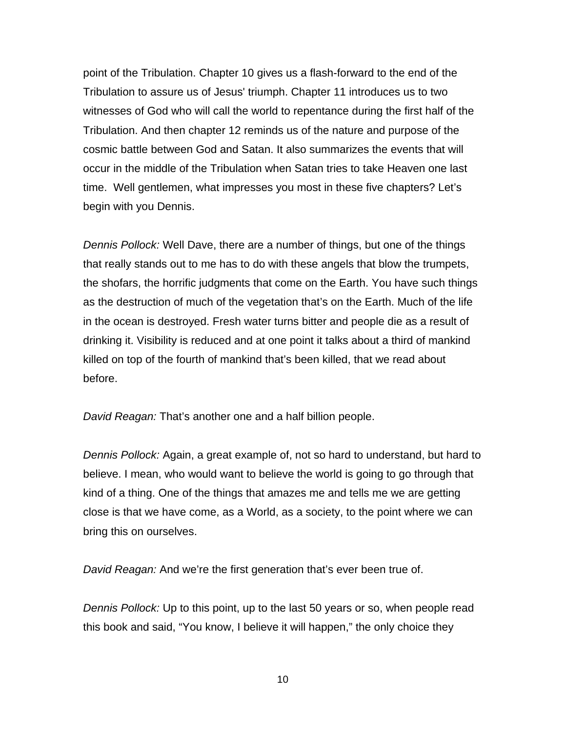point of the Tribulation. Chapter 10 gives us a flash-forward to the end of the Tribulation to assure us of Jesus' triumph. Chapter 11 introduces us to two witnesses of God who will call the world to repentance during the first half of the Tribulation. And then chapter 12 reminds us of the nature and purpose of the cosmic battle between God and Satan. It also summarizes the events that will occur in the middle of the Tribulation when Satan tries to take Heaven one last time. Well gentlemen, what impresses you most in these five chapters? Let's begin with you Dennis.

*Dennis Pollock:* Well Dave, there are a number of things, but one of the things that really stands out to me has to do with these angels that blow the trumpets, the shofars, the horrific judgments that come on the Earth. You have such things as the destruction of much of the vegetation that's on the Earth. Much of the life in the ocean is destroyed. Fresh water turns bitter and people die as a result of drinking it. Visibility is reduced and at one point it talks about a third of mankind killed on top of the fourth of mankind that's been killed, that we read about before.

*David Reagan:* That's another one and a half billion people.

*Dennis Pollock:* Again, a great example of, not so hard to understand, but hard to believe. I mean, who would want to believe the world is going to go through that kind of a thing. One of the things that amazes me and tells me we are getting close is that we have come, as a World, as a society, to the point where we can bring this on ourselves.

*David Reagan:* And we're the first generation that's ever been true of.

*Dennis Pollock:* Up to this point, up to the last 50 years or so, when people read this book and said, "You know, I believe it will happen," the only choice they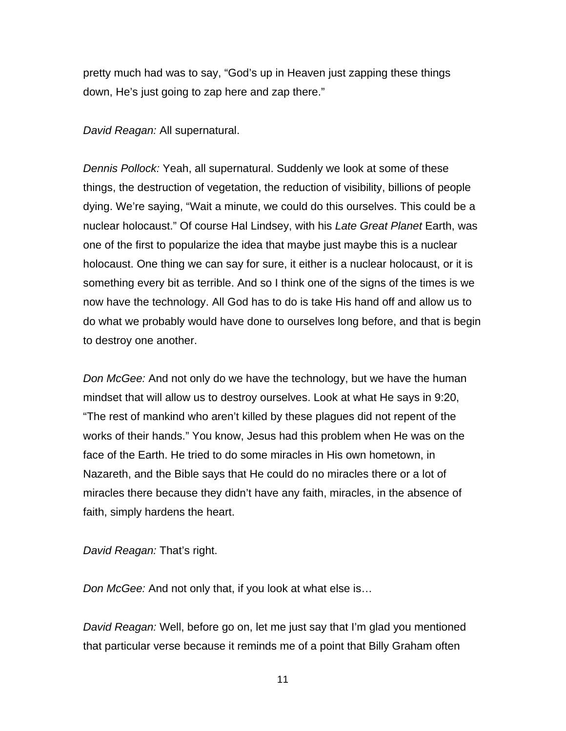pretty much had was to say, "God's up in Heaven just zapping these things down, He's just going to zap here and zap there."

*David Reagan:* All supernatural.

*Dennis Pollock:* Yeah, all supernatural. Suddenly we look at some of these things, the destruction of vegetation, the reduction of visibility, billions of people dying. We're saying, "Wait a minute, we could do this ourselves. This could be a nuclear holocaust." Of course Hal Lindsey, with his *Late Great Planet* Earth, was one of the first to popularize the idea that maybe just maybe this is a nuclear holocaust. One thing we can say for sure, it either is a nuclear holocaust, or it is something every bit as terrible. And so I think one of the signs of the times is we now have the technology. All God has to do is take His hand off and allow us to do what we probably would have done to ourselves long before, and that is begin to destroy one another.

*Don McGee:* And not only do we have the technology, but we have the human mindset that will allow us to destroy ourselves. Look at what He says in 9:20, "The rest of mankind who aren't killed by these plagues did not repent of the works of their hands." You know, Jesus had this problem when He was on the face of the Earth. He tried to do some miracles in His own hometown, in Nazareth, and the Bible says that He could do no miracles there or a lot of miracles there because they didn't have any faith, miracles, in the absence of faith, simply hardens the heart.

*David Reagan:* That's right.

*Don McGee:* And not only that, if you look at what else is…

*David Reagan:* Well, before go on, let me just say that I'm glad you mentioned that particular verse because it reminds me of a point that Billy Graham often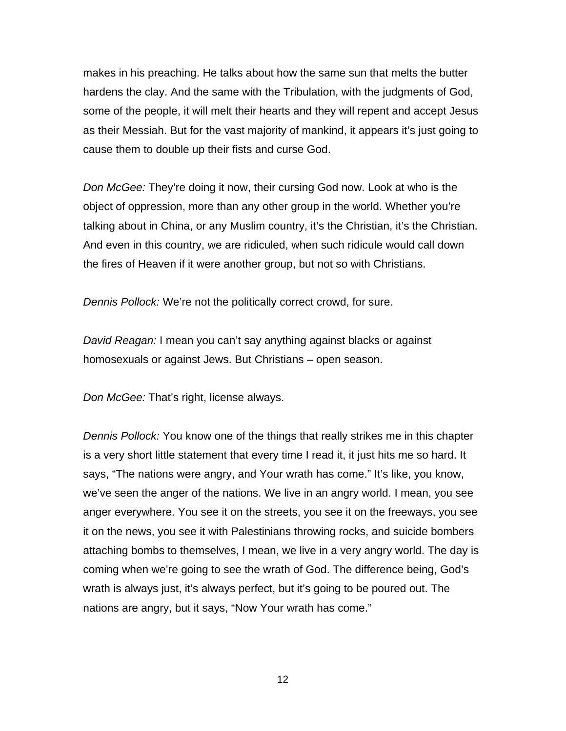makes in his preaching. He talks about how the same sun that melts the butter hardens the clay. And the same with the Tribulation, with the judgments of God, some of the people, it will melt their hearts and they will repent and accept Jesus as their Messiah. But for the vast majority of mankind, it appears it's just going to cause them to double up their fists and curse God.

*Don McGee:* They're doing it now, their cursing God now. Look at who is the object of oppression, more than any other group in the world. Whether you're talking about in China, or any Muslim country, it's the Christian, it's the Christian. And even in this country, we are ridiculed, when such ridicule would call down the fires of Heaven if it were another group, but not so with Christians.

*Dennis Pollock:* We're not the politically correct crowd, for sure.

*David Reagan:* I mean you can't say anything against blacks or against homosexuals or against Jews. But Christians – open season.

*Don McGee:* That's right, license always.

*Dennis Pollock:* You know one of the things that really strikes me in this chapter is a very short little statement that every time I read it, it just hits me so hard. It says, "The nations were angry, and Your wrath has come." It's like, you know, we've seen the anger of the nations. We live in an angry world. I mean, you see anger everywhere. You see it on the streets, you see it on the freeways, you see it on the news, you see it with Palestinians throwing rocks, and suicide bombers attaching bombs to themselves, I mean, we live in a very angry world. The day is coming when we're going to see the wrath of God. The difference being, God's wrath is always just, it's always perfect, but it's going to be poured out. The nations are angry, but it says, "Now Your wrath has come."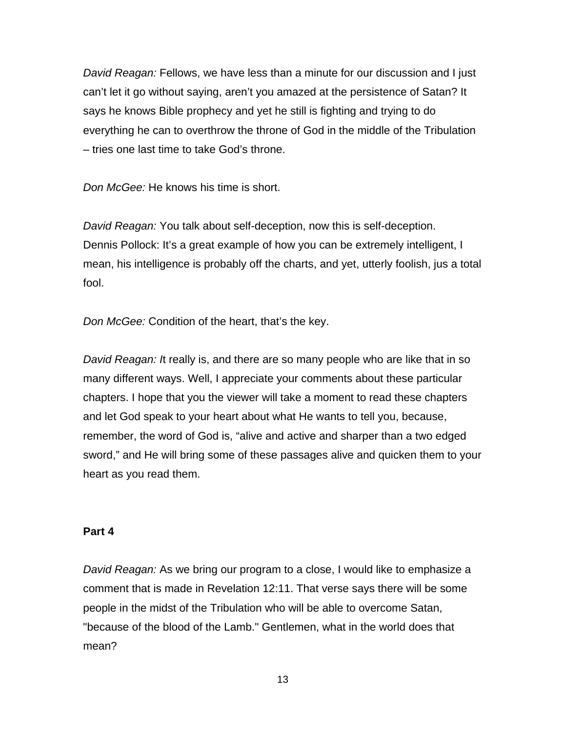*David Reagan:* Fellows, we have less than a minute for our discussion and I just can't let it go without saying, aren't you amazed at the persistence of Satan? It says he knows Bible prophecy and yet he still is fighting and trying to do everything he can to overthrow the throne of God in the middle of the Tribulation – tries one last time to take God's throne.

*Don McGee:* He knows his time is short.

*David Reagan:* You talk about self-deception, now this is self-deception. Dennis Pollock: It's a great example of how you can be extremely intelligent, I mean, his intelligence is probably off the charts, and yet, utterly foolish, jus a total fool.

*Don McGee:* Condition of the heart, that's the key.

*David Reagan: It really is, and there are so many people who are like that in so* many different ways. Well, I appreciate your comments about these particular chapters. I hope that you the viewer will take a moment to read these chapters and let God speak to your heart about what He wants to tell you, because, remember, the word of God is, "alive and active and sharper than a two edged sword," and He will bring some of these passages alive and quicken them to your heart as you read them.

### **Part 4**

*David Reagan:* As we bring our program to a close, I would like to emphasize a comment that is made in Revelation 12:11. That verse says there will be some people in the midst of the Tribulation who will be able to overcome Satan, "because of the blood of the Lamb." Gentlemen, what in the world does that mean?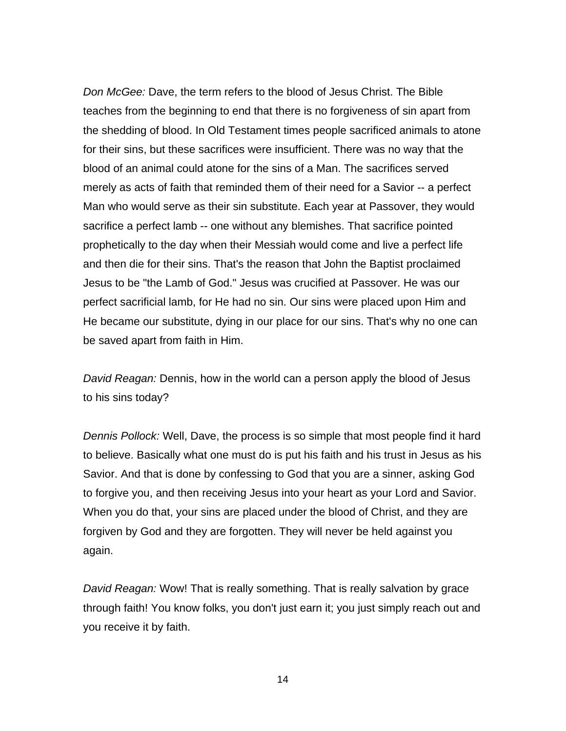*Don McGee:* Dave, the term refers to the blood of Jesus Christ. The Bible teaches from the beginning to end that there is no forgiveness of sin apart from the shedding of blood. In Old Testament times people sacrificed animals to atone for their sins, but these sacrifices were insufficient. There was no way that the blood of an animal could atone for the sins of a Man. The sacrifices served merely as acts of faith that reminded them of their need for a Savior -- a perfect Man who would serve as their sin substitute. Each year at Passover, they would sacrifice a perfect lamb -- one without any blemishes. That sacrifice pointed prophetically to the day when their Messiah would come and live a perfect life and then die for their sins. That's the reason that John the Baptist proclaimed Jesus to be "the Lamb of God." Jesus was crucified at Passover. He was our perfect sacrificial lamb, for He had no sin. Our sins were placed upon Him and He became our substitute, dying in our place for our sins. That's why no one can be saved apart from faith in Him.

*David Reagan:* Dennis, how in the world can a person apply the blood of Jesus to his sins today?

*Dennis Pollock:* Well, Dave, the process is so simple that most people find it hard to believe. Basically what one must do is put his faith and his trust in Jesus as his Savior. And that is done by confessing to God that you are a sinner, asking God to forgive you, and then receiving Jesus into your heart as your Lord and Savior. When you do that, your sins are placed under the blood of Christ, and they are forgiven by God and they are forgotten. They will never be held against you again.

*David Reagan:* Wow! That is really something. That is really salvation by grace through faith! You know folks, you don't just earn it; you just simply reach out and you receive it by faith.